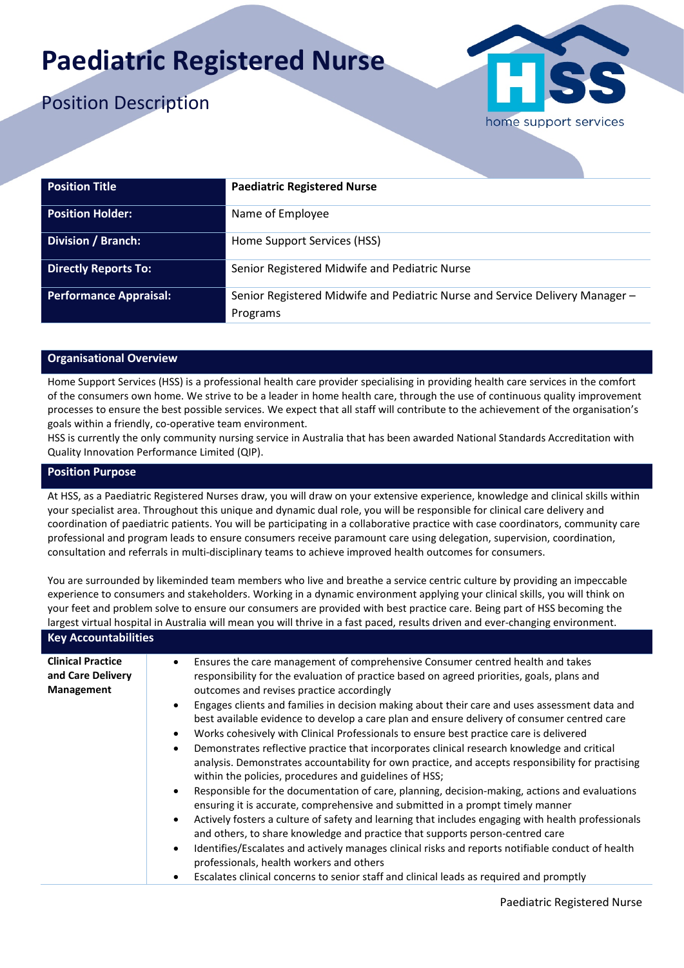# **Paediatric Registered Nurse**

## Position Description



| <b>Position Title</b>         | <b>Paediatric Registered Nurse</b>                                           |
|-------------------------------|------------------------------------------------------------------------------|
| <b>Position Holder:</b>       | Name of Employee                                                             |
| Division / Branch:            | Home Support Services (HSS)                                                  |
| <b>Directly Reports To:</b>   | Senior Registered Midwife and Pediatric Nurse                                |
| <b>Performance Appraisal:</b> | Senior Registered Midwife and Pediatric Nurse and Service Delivery Manager - |
|                               | Programs                                                                     |

#### **Organisational Overview**

Home Support Services (HSS) is a professional health care provider specialising in providing health care services in the comfort of the consumers own home. We strive to be a leader in home health care, through the use of continuous quality improvement processes to ensure the best possible services. We expect that all staff will contribute to the achievement of the organisation's goals within a friendly, co-operative team environment.

HSS is currently the only community nursing service in Australia that has been awarded National Standards Accreditation with Quality Innovation Performance Limited (QIP).

#### **Position Purpose**

At HSS, as a Paediatric Registered Nurses draw, you will draw on your extensive experience, knowledge and clinical skills within your specialist area. Throughout this unique and dynamic dual role, you will be responsible for clinical care delivery and coordination of paediatric patients. You will be participating in a collaborative practice with case coordinators, community care professional and program leads to ensure consumers receive paramount care using delegation, supervision, coordination, consultation and referrals in multi-disciplinary teams to achieve improved health outcomes for consumers.

You are surrounded by likeminded team members who live and breathe a service centric culture by providing an impeccable experience to consumers and stakeholders. Working in a dynamic environment applying your clinical skills, you will think on your feet and problem solve to ensure our consumers are provided with best practice care. Being part of HSS becoming the largest virtual hospital in Australia will mean you will thrive in a fast paced, results driven and ever-changing environment. **Key Accountabilities** 

| <b>Rey Accountabilities</b>                                 |                                                                                                                                                                                                                                                                                                                                                                                                                                                                                                                                                                                                                                                                                                                                                                                                                                                                                                                                                                                                                                                                                                                                                                                                                                                                                                                                                                                                                                                                                       |  |
|-------------------------------------------------------------|---------------------------------------------------------------------------------------------------------------------------------------------------------------------------------------------------------------------------------------------------------------------------------------------------------------------------------------------------------------------------------------------------------------------------------------------------------------------------------------------------------------------------------------------------------------------------------------------------------------------------------------------------------------------------------------------------------------------------------------------------------------------------------------------------------------------------------------------------------------------------------------------------------------------------------------------------------------------------------------------------------------------------------------------------------------------------------------------------------------------------------------------------------------------------------------------------------------------------------------------------------------------------------------------------------------------------------------------------------------------------------------------------------------------------------------------------------------------------------------|--|
| <b>Clinical Practice</b><br>and Care Delivery<br>Management | Ensures the care management of comprehensive Consumer centred health and takes<br>$\bullet$<br>responsibility for the evaluation of practice based on agreed priorities, goals, plans and<br>outcomes and revises practice accordingly<br>Engages clients and families in decision making about their care and uses assessment data and<br>best available evidence to develop a care plan and ensure delivery of consumer centred care<br>Works cohesively with Clinical Professionals to ensure best practice care is delivered<br>$\bullet$<br>Demonstrates reflective practice that incorporates clinical research knowledge and critical<br>$\bullet$<br>analysis. Demonstrates accountability for own practice, and accepts responsibility for practising<br>within the policies, procedures and guidelines of HSS;<br>Responsible for the documentation of care, planning, decision-making, actions and evaluations<br>ensuring it is accurate, comprehensive and submitted in a prompt timely manner<br>Actively fosters a culture of safety and learning that includes engaging with health professionals<br>$\bullet$<br>and others, to share knowledge and practice that supports person-centred care<br>Identifies/Escalates and actively manages clinical risks and reports notifiable conduct of health<br>$\bullet$<br>professionals, health workers and others<br>Escalates clinical concerns to senior staff and clinical leads as required and promptly<br>$\bullet$ |  |
|                                                             |                                                                                                                                                                                                                                                                                                                                                                                                                                                                                                                                                                                                                                                                                                                                                                                                                                                                                                                                                                                                                                                                                                                                                                                                                                                                                                                                                                                                                                                                                       |  |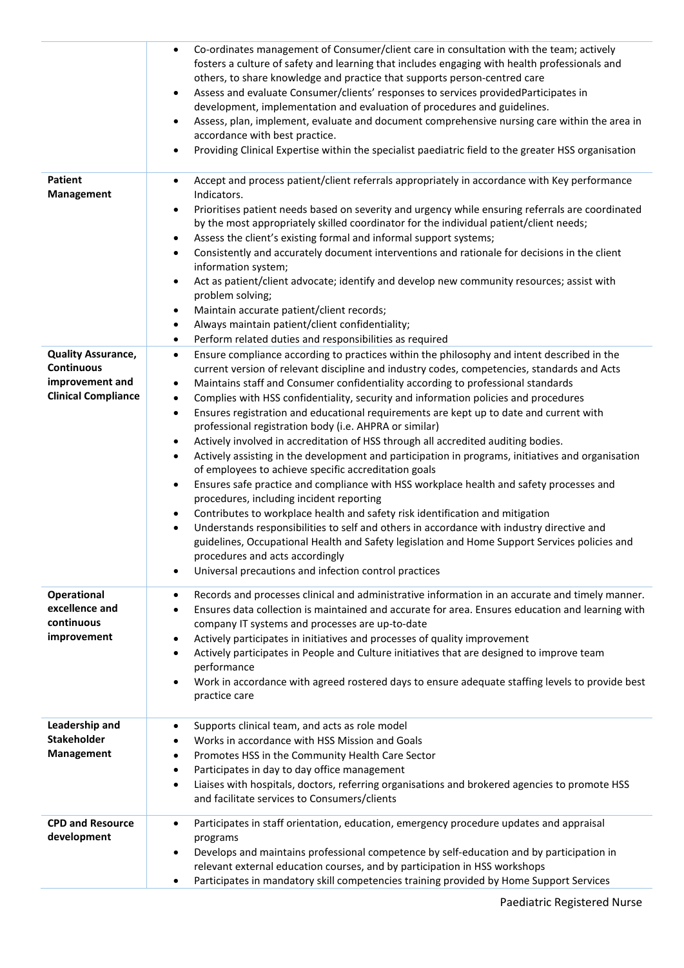|                                                                                                 | Co-ordinates management of Consumer/client care in consultation with the team; actively<br>$\bullet$<br>fosters a culture of safety and learning that includes engaging with health professionals and<br>others, to share knowledge and practice that supports person-centred care<br>Assess and evaluate Consumer/clients' responses to services providedParticipates in<br>$\bullet$<br>development, implementation and evaluation of procedures and guidelines.<br>Assess, plan, implement, evaluate and document comprehensive nursing care within the area in<br>$\bullet$<br>accordance with best practice.<br>Providing Clinical Expertise within the specialist paediatric field to the greater HSS organisation                                                                                                                                                                                                                                                                                                                                                                                                                                                                                                                                                                                                                                                                             |
|-------------------------------------------------------------------------------------------------|------------------------------------------------------------------------------------------------------------------------------------------------------------------------------------------------------------------------------------------------------------------------------------------------------------------------------------------------------------------------------------------------------------------------------------------------------------------------------------------------------------------------------------------------------------------------------------------------------------------------------------------------------------------------------------------------------------------------------------------------------------------------------------------------------------------------------------------------------------------------------------------------------------------------------------------------------------------------------------------------------------------------------------------------------------------------------------------------------------------------------------------------------------------------------------------------------------------------------------------------------------------------------------------------------------------------------------------------------------------------------------------------------|
| <b>Patient</b><br>Management                                                                    | Accept and process patient/client referrals appropriately in accordance with Key performance<br>$\bullet$<br>Indicators.                                                                                                                                                                                                                                                                                                                                                                                                                                                                                                                                                                                                                                                                                                                                                                                                                                                                                                                                                                                                                                                                                                                                                                                                                                                                             |
|                                                                                                 | Prioritises patient needs based on severity and urgency while ensuring referrals are coordinated<br>٠<br>by the most appropriately skilled coordinator for the individual patient/client needs;<br>Assess the client's existing formal and informal support systems;<br>$\bullet$<br>Consistently and accurately document interventions and rationale for decisions in the client<br>$\bullet$<br>information system;<br>Act as patient/client advocate; identify and develop new community resources; assist with<br>$\bullet$<br>problem solving;                                                                                                                                                                                                                                                                                                                                                                                                                                                                                                                                                                                                                                                                                                                                                                                                                                                  |
|                                                                                                 | Maintain accurate patient/client records;<br>Always maintain patient/client confidentiality;                                                                                                                                                                                                                                                                                                                                                                                                                                                                                                                                                                                                                                                                                                                                                                                                                                                                                                                                                                                                                                                                                                                                                                                                                                                                                                         |
|                                                                                                 | Perform related duties and responsibilities as required<br>$\bullet$                                                                                                                                                                                                                                                                                                                                                                                                                                                                                                                                                                                                                                                                                                                                                                                                                                                                                                                                                                                                                                                                                                                                                                                                                                                                                                                                 |
| <b>Quality Assurance,</b><br><b>Continuous</b><br>improvement and<br><b>Clinical Compliance</b> | Ensure compliance according to practices within the philosophy and intent described in the<br>$\bullet$<br>current version of relevant discipline and industry codes, competencies, standards and Acts<br>Maintains staff and Consumer confidentiality according to professional standards<br>$\bullet$<br>Complies with HSS confidentiality, security and information policies and procedures<br>$\bullet$<br>Ensures registration and educational requirements are kept up to date and current with<br>$\bullet$<br>professional registration body (i.e. AHPRA or similar)<br>Actively involved in accreditation of HSS through all accredited auditing bodies.<br>Actively assisting in the development and participation in programs, initiatives and organisation<br>$\bullet$<br>of employees to achieve specific accreditation goals<br>Ensures safe practice and compliance with HSS workplace health and safety processes and<br>$\bullet$<br>procedures, including incident reporting<br>Contributes to workplace health and safety risk identification and mitigation<br>Understands responsibilities to self and others in accordance with industry directive and<br>$\bullet$<br>guidelines, Occupational Health and Safety legislation and Home Support Services policies and<br>procedures and acts accordingly<br>Universal precautions and infection control practices<br>$\bullet$ |
| <b>Operational</b><br>excellence and<br>continuous                                              | Records and processes clinical and administrative information in an accurate and timely manner.<br>$\bullet$<br>Ensures data collection is maintained and accurate for area. Ensures education and learning with<br>company IT systems and processes are up-to-date                                                                                                                                                                                                                                                                                                                                                                                                                                                                                                                                                                                                                                                                                                                                                                                                                                                                                                                                                                                                                                                                                                                                  |
| improvement                                                                                     | Actively participates in initiatives and processes of quality improvement                                                                                                                                                                                                                                                                                                                                                                                                                                                                                                                                                                                                                                                                                                                                                                                                                                                                                                                                                                                                                                                                                                                                                                                                                                                                                                                            |
|                                                                                                 | Actively participates in People and Culture initiatives that are designed to improve team<br>$\bullet$<br>performance<br>Work in accordance with agreed rostered days to ensure adequate staffing levels to provide best<br>practice care                                                                                                                                                                                                                                                                                                                                                                                                                                                                                                                                                                                                                                                                                                                                                                                                                                                                                                                                                                                                                                                                                                                                                            |
| Leadership and                                                                                  | Supports clinical team, and acts as role model<br>٠                                                                                                                                                                                                                                                                                                                                                                                                                                                                                                                                                                                                                                                                                                                                                                                                                                                                                                                                                                                                                                                                                                                                                                                                                                                                                                                                                  |
| <b>Stakeholder</b><br>Management                                                                | Works in accordance with HSS Mission and Goals                                                                                                                                                                                                                                                                                                                                                                                                                                                                                                                                                                                                                                                                                                                                                                                                                                                                                                                                                                                                                                                                                                                                                                                                                                                                                                                                                       |
|                                                                                                 | Promotes HSS in the Community Health Care Sector<br>٠<br>Participates in day to day office management<br>$\bullet$                                                                                                                                                                                                                                                                                                                                                                                                                                                                                                                                                                                                                                                                                                                                                                                                                                                                                                                                                                                                                                                                                                                                                                                                                                                                                   |
|                                                                                                 | Liaises with hospitals, doctors, referring organisations and brokered agencies to promote HSS<br>$\bullet$<br>and facilitate services to Consumers/clients                                                                                                                                                                                                                                                                                                                                                                                                                                                                                                                                                                                                                                                                                                                                                                                                                                                                                                                                                                                                                                                                                                                                                                                                                                           |
| <b>CPD and Resource</b>                                                                         | Participates in staff orientation, education, emergency procedure updates and appraisal<br>$\bullet$                                                                                                                                                                                                                                                                                                                                                                                                                                                                                                                                                                                                                                                                                                                                                                                                                                                                                                                                                                                                                                                                                                                                                                                                                                                                                                 |
| development                                                                                     | programs<br>Develops and maintains professional competence by self-education and by participation in<br>$\bullet$<br>relevant external education courses, and by participation in HSS workshops                                                                                                                                                                                                                                                                                                                                                                                                                                                                                                                                                                                                                                                                                                                                                                                                                                                                                                                                                                                                                                                                                                                                                                                                      |
|                                                                                                 | Participates in mandatory skill competencies training provided by Home Support Services<br>$\bullet$                                                                                                                                                                                                                                                                                                                                                                                                                                                                                                                                                                                                                                                                                                                                                                                                                                                                                                                                                                                                                                                                                                                                                                                                                                                                                                 |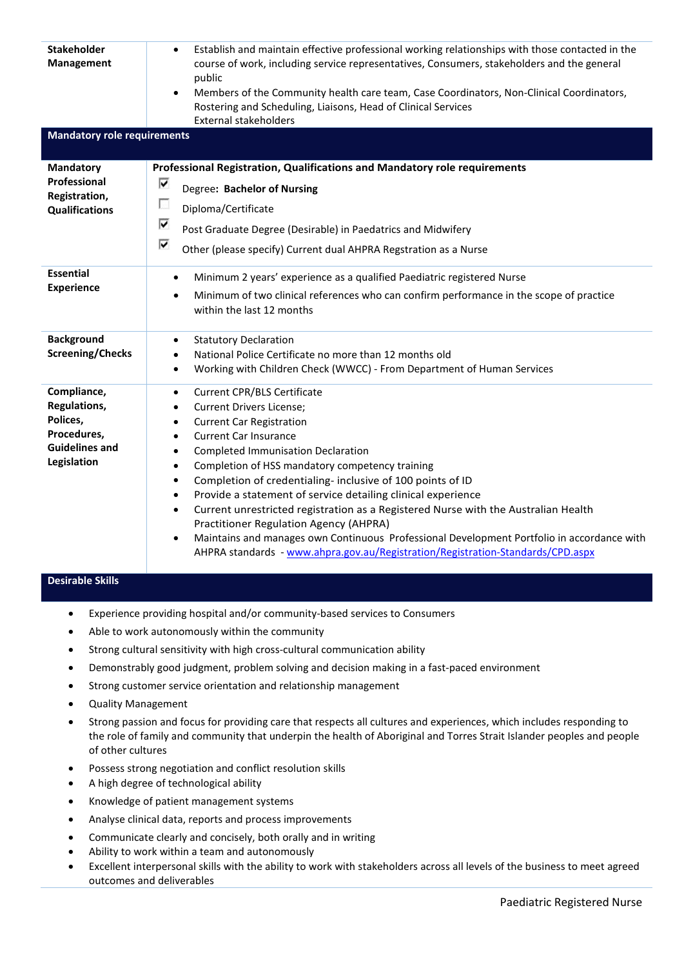| <b>Stakeholder</b><br>Management       | Establish and maintain effective professional working relationships with those contacted in the<br>$\bullet$<br>course of work, including service representatives, Consumers, stakeholders and the general<br>public |
|----------------------------------------|----------------------------------------------------------------------------------------------------------------------------------------------------------------------------------------------------------------------|
|                                        | Members of the Community health care team, Case Coordinators, Non-Clinical Coordinators,<br>$\bullet$<br>Rostering and Scheduling, Liaisons, Head of Clinical Services<br><b>External stakeholders</b>               |
| <b>Mandatory role requirements</b>     |                                                                                                                                                                                                                      |
| Mandatory                              | Professional Registration, Qualifications and Mandatory role requirements                                                                                                                                            |
| Professional                           | ⊽<br>Degree: Bachelor of Nursing                                                                                                                                                                                     |
| Registration,<br><b>Qualifications</b> | П<br>Diploma/Certificate                                                                                                                                                                                             |
|                                        | ⊽                                                                                                                                                                                                                    |
|                                        | Post Graduate Degree (Desirable) in Paedatrics and Midwifery                                                                                                                                                         |
|                                        | ⊽<br>Other (please specify) Current dual AHPRA Regstration as a Nurse                                                                                                                                                |
| <b>Essential</b>                       | Minimum 2 years' experience as a qualified Paediatric registered Nurse<br>٠                                                                                                                                          |
| <b>Experience</b>                      | Minimum of two clinical references who can confirm performance in the scope of practice<br>٠<br>within the last 12 months                                                                                            |
| <b>Background</b>                      | <b>Statutory Declaration</b><br>$\bullet$                                                                                                                                                                            |
| <b>Screening/Checks</b>                | National Police Certificate no more than 12 months old<br>٠                                                                                                                                                          |
|                                        | Working with Children Check (WWCC) - From Department of Human Services<br>$\bullet$                                                                                                                                  |
| Compliance,                            | <b>Current CPR/BLS Certificate</b><br>$\bullet$                                                                                                                                                                      |
| Regulations,                           | <b>Current Drivers License;</b><br>٠                                                                                                                                                                                 |
| Polices,                               | <b>Current Car Registration</b><br>٠                                                                                                                                                                                 |
| Procedures,<br><b>Guidelines and</b>   | <b>Current Car Insurance</b><br>$\bullet$                                                                                                                                                                            |
| Legislation                            | <b>Completed Immunisation Declaration</b><br>$\bullet$                                                                                                                                                               |
|                                        | Completion of HSS mandatory competency training<br>$\bullet$<br>Completion of credentialing- inclusive of 100 points of ID<br>$\bullet$                                                                              |
|                                        | Provide a statement of service detailing clinical experience<br>$\bullet$                                                                                                                                            |
|                                        | Current unrestricted registration as a Registered Nurse with the Australian Health<br>$\bullet$                                                                                                                      |
|                                        | Practitioner Regulation Agency (AHPRA)                                                                                                                                                                               |
|                                        | Maintains and manages own Continuous Professional Development Portfolio in accordance with<br>$\bullet$                                                                                                              |
|                                        | AHPRA standards - www.ahpra.gov.au/Registration/Registration-Standards/CPD.aspx                                                                                                                                      |

### **Desirable Skills**

- Experience providing hospital and/or community-based services to Consumers
- Able to work autonomously within the community
- Strong cultural sensitivity with high cross-cultural communication ability
- Demonstrably good judgment, problem solving and decision making in a fast-paced environment
- Strong customer service orientation and relationship management
- Quality Management
- Strong passion and focus for providing care that respects all cultures and experiences, which includes responding to the role of family and community that underpin the health of Aboriginal and Torres Strait Islander peoples and people of other cultures
- Possess strong negotiation and conflict resolution skills
- A high degree of technological ability
- Knowledge of patient management systems
- Analyse clinical data, reports and process improvements
- Communicate clearly and concisely, both orally and in writing
- Ability to work within a team and autonomously
- Excellent interpersonal skills with the ability to work with stakeholders across all levels of the business to meet agreed outcomes and deliverables